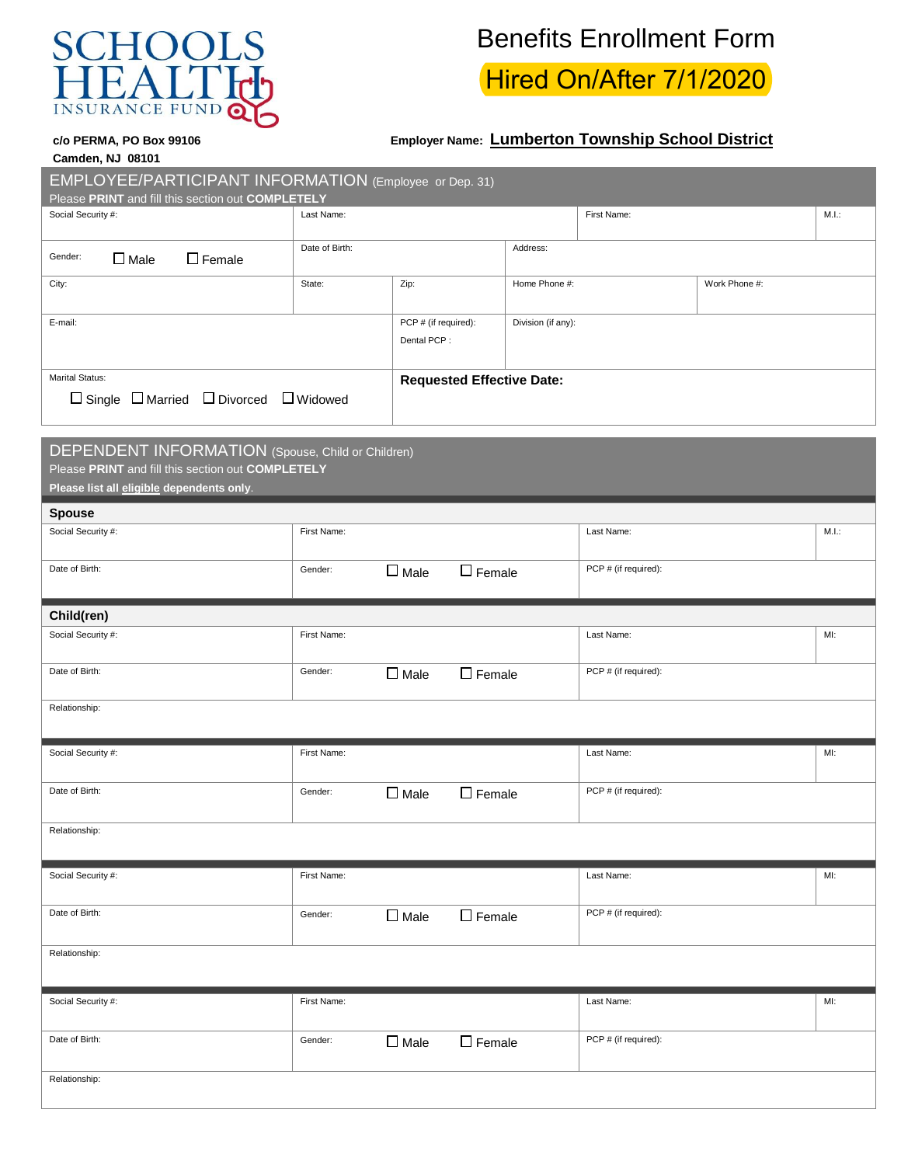

## Benefits Enrollment Form

Hired On/After 7/1/2020

## **c/o PERMA, PO Box 99106 Employer Name: Lumberton Township School District**

| <b>Camden, NJ 08101</b> |  |  |
|-------------------------|--|--|

EMPLOYEE/PARTICIPANT INFORMATION (Employee or Dep. 31)

| Please PRINT and fill this section out COMPLETELY           |                |                                  |                    |             |               |       |
|-------------------------------------------------------------|----------------|----------------------------------|--------------------|-------------|---------------|-------|
| Social Security #:                                          | Last Name:     |                                  |                    | First Name: |               | M.I.: |
|                                                             |                |                                  |                    |             |               |       |
| Gender:<br>$\Box$ Female<br>$\Box$ Male                     | Date of Birth: |                                  | Address:           |             |               |       |
| City:                                                       | State:         | Zip:                             | Home Phone #:      |             | Work Phone #: |       |
|                                                             |                |                                  |                    |             |               |       |
| E-mail:                                                     |                | PCP # (if required):             | Division (if any): |             |               |       |
|                                                             |                | Dental PCP:                      |                    |             |               |       |
|                                                             |                |                                  |                    |             |               |       |
| <b>Marital Status:</b>                                      |                | <b>Requested Effective Date:</b> |                    |             |               |       |
| $\Box$ Single $\Box$ Married $\Box$ Divorced $\Box$ Widowed |                |                                  |                    |             |               |       |

| DEPENDENT INFORMATION (Spouse, Child or Children)<br>Please PRINT and fill this section out COMPLETELY<br>Please list all eligible dependents only. |             |                |               |                      |        |
|-----------------------------------------------------------------------------------------------------------------------------------------------------|-------------|----------------|---------------|----------------------|--------|
| <b>Spouse</b>                                                                                                                                       |             |                |               |                      |        |
| Social Security #:                                                                                                                                  | First Name: |                |               | Last Name:           | M.L.   |
| Date of Birth:                                                                                                                                      | Gender:     | $\square$ Male | $\Box$ Female | PCP # (if required): |        |
| Child(ren)                                                                                                                                          |             |                |               |                      |        |
| Social Security #:                                                                                                                                  | First Name: |                |               | Last Name:           | $Ml$ : |
| Date of Birth:                                                                                                                                      | Gender:     | $\square$ Male | $\Box$ Female | PCP # (if required): |        |
| Relationship:                                                                                                                                       |             |                |               |                      |        |
| Social Security #:                                                                                                                                  | First Name: |                |               | Last Name:           | MI:    |
| Date of Birth:                                                                                                                                      | Gender:     | $\square$ Male | $\Box$ Female | PCP # (if required): |        |

Relationship:

Social Security #: Networks Are also well seemed a security and the security of the security and the security of the security and the security and the security and the security and the security and the security and the sec Date of Birth:  $\Box$  Gender:  $\Box$  Male  $\Box$  Female  $\Box$  PCP # (if required): Relationship: Social Security #: Networks Are also well seemed a security and the security of the security and the security of the security and the security and the security and the security and the security and the security and the sec Date of Birth:  $\Box$  Gender:  $\Box$  Male  $\Box$  Female PCP # (if required): Relationship: